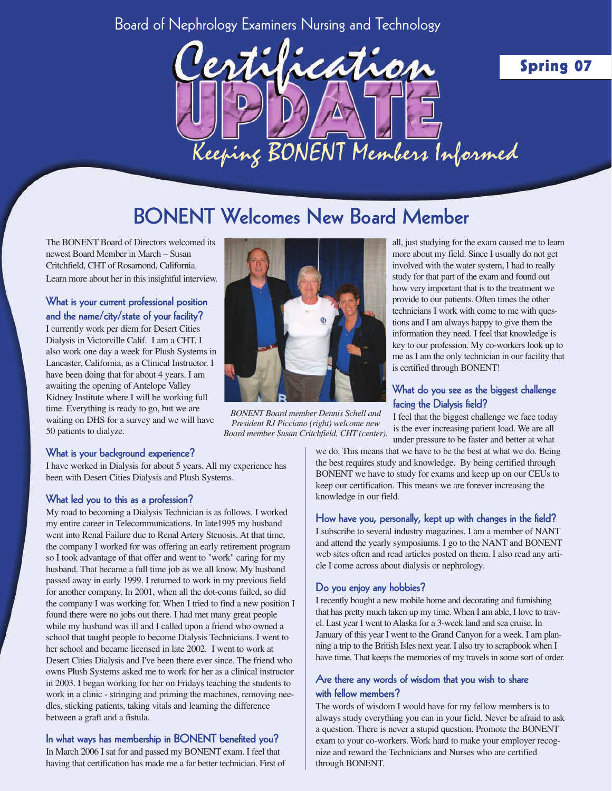### Board of Nephrology Examiners Nursing and Technology



# **BONENT Welcomes New Board Member**

The BONENT Board of Directors welcomed its newest Board Member in March – Susan Critchfield, CHT of Rosamond, California. Learn more about her in this insightful interview.

**What is your current professional position and the name/city/state of your facility?** I currently work per diem for Desert Cities Dialysis in Victorville Calif. I am a CHT. I also work one day a week for Plush Systems in Lancaster, California, as a Clinical Instructor. I have been doing that for about 4 years. I am awaiting the opening of Antelope Valley

Kidney Institute where I will be working full time. Everything is ready to go, but we are waiting on DHS for a survey and we will have 50 patients to dialyze.



*BONENT Board member Dennis Schell and President RJ Picciano (right) welcome new Board member Susan Critchfield, CHT (center).*

#### **What is your background experience?**

I have worked in Dialysis for about 5 years. All my experience has been with Desert Cities Dialysis and Plush Systems.

#### **What led you to this as a profession?**

My road to becoming a Dialysis Technician is as follows. I worked my entire career in Telecommunications. In late1995 my husband went into Renal Failure due to Renal Artery Stenosis. At that time, the company I worked for was offering an early retirement program so I took advantage of that offer and went to "work" caring for my husband. That became a full time job as we all know. My husband passed away in early 1999. I returned to work in my previous field for another company. In 2001, when all the dot-coms failed, so did the company I was working for. When I tried to find a new position I found there were no jobs out there. I had met many great people while my husband was ill and I called upon a friend who owned a school that taught people to become Dialysis Technicians. I went to her school and became licensed in late 2002. I went to work at Desert Cities Dialysis and I've been there ever since. The friend who owns Plush Systems asked me to work for her as a clinical instructor in 2003. I began working for her on Fridays teaching the students to work in a clinic - stringing and priming the machines, removing needles, sticking patients, taking vitals and learning the difference between a graft and a fistula.

#### **In what ways has membership in BONENT benefited you?**

In March 2006 I sat for and passed my BONENT exam. I feel that having that certification has made me a far better technician. First of

all, just studying for the exam caused me to learn more about my field. Since I usually do not get involved with the water system, I had to really study for that part of the exam and found out how very important that is to the treatment we provide to our patients. Often times the other technicians I work with come to me with questions and I am always happy to give them the information they need. I feel that knowledge is key to our profession. My co-workers look up to me as I am the only technician in our facility that is certified through BONENT!

### **What do you see as the biggest challenge facing the Dialysis field?**

I feel that the biggest challenge we face today is the ever increasing patient load. We are all under pressure to be faster and better at what

we do. This means that we have to be the best at what we do. Being the best requires study and knowledge. By being certified through BONENT we have to study for exams and keep up on our CEUs to keep our certification. This means we are forever increasing the knowledge in our field.

#### **How have you, personally, kept up with changes in the field?**

I subscribe to several industry magazines. I am a member of NANT and attend the yearly symposiums. I go to the NANT and BONENT web sites often and read articles posted on them. I also read any article I come across about dialysis or nephrology.

#### **Do you enjoy any hobbies?**

I recently bought a new mobile home and decorating and furnishing that has pretty much taken up my time. When I am able, I love to travel. Last year I went to Alaska for a 3-week land and sea cruise. In January of this year I went to the Grand Canyon for a week. I am planning a trip to the British Isles next year. I also try to scrapbook when I have time. That keeps the memories of my travels in some sort of order.

#### **Are there any words of wisdom that you wish to share with fellow members?**

The words of wisdom I would have for my fellow members is to always study everything you can in your field. Never be afraid to ask a question. There is never a stupid question. Promote the BONENT exam to your co-workers. Work hard to make your employer recognize and reward the Technicians and Nurses who are certified through BONENT.

### **Spring 07**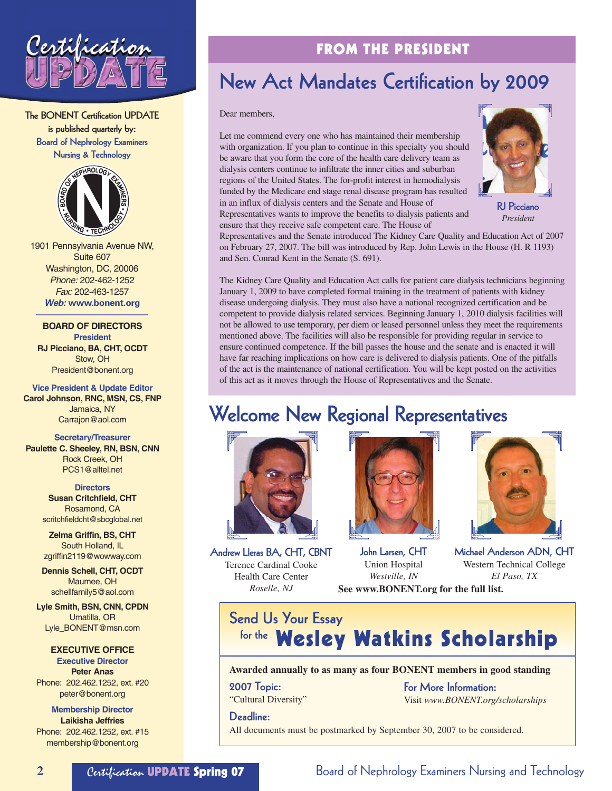

**The BONENT Certification UPDATE is published quarterly by: Board of Nephrology Examiners Nursing & Technology**



1901 Pennsylvania Avenue NW, Suite 607 Washington, DC, 20006 Phone: 202-462-1252 Fax: 202-463-1257 **Web: www.bonent.org**

**BOARD OF DIRECTORS President RJ Picciano, BA, CHT, OCDT** Stow, OH President@bonent.org

**Vice President & Update Editor Carol Johnson, RNC, MSN, CS, FNP** Jamaica, NY Carrajon@aol.com

**Secretary/Treasurer Paulette C. Sheeley, RN, BSN, CNN** Rock Creek, OH PCS1@alltel.net

**Directors**

**Susan Critchfield, CHT** Rosamond, CA scritchfieldcht@sbcglobal.net

**Zelma Griffin, BS, CHT** South Holland, IL zgriffin2119@wowway.com

**Dennis Schell, CHT, OCDT** Maumee, OH schellfamily5@aol.com

**Lyle Smith, BSN, CNN, CPDN** Umatilla, OR Lyle\_BONENT@msn.com

**EXECUTIVE OFFICE**

**Executive Director Peter Anas** Phone: 202.462.1252, ext. #20 peter@bonent.org

**Membership Director Laikisha Jeffries** Phone: 202.462.1252, ext. #15 membership@bonent.org

### **FROM THE PRESIDENT**

# **New Act Mandates Certification by 2009**

Dear members,

Let me commend every one who has maintained their membership with organization. If you plan to continue in this specialty you should be aware that you form the core of the health care delivery team as dialysis centers continue to infiltrate the inner cities and suburban regions of the United States. The for-profit interest in hemodialysis funded by the Medicare end stage renal disease program has resulted in an influx of dialysis centers and the Senate and House of Representatives wants to improve the benefits to dialysis patients and ensure that they receive safe competent care. The House of



**RJ Picciano** *President*

Representatives and the Senate introduced The Kidney Care Quality and Education Act of 2007 on February 27, 2007. The bill was introduced by Rep. John Lewis in the House (H. R 1193) and Sen. Conrad Kent in the Senate (S. 691).

The Kidney Care Quality and Education Act calls for patient care dialysis technicians beginning January 1, 2009 to have completed formal training in the treatment of patients with kidney disease undergoing dialysis. They must also have a national recognized certification and be competent to provide dialysis related services. Beginning January 1, 2010 dialysis facilities will not be allowed to use temporary, per diem or leased personnel unless they meet the requirements mentioned above. The facilities will also be responsible for providing regular in service to ensure continued competence. If the bill passes the house and the senate and is enacted it will have far reaching implications on how care is delivered to dialysis patients. One of the pitfalls of the act is the maintenance of national certification. You will be kept posted on the activities of this act as it moves through the House of Representatives and the Senate.

# **Welcome New Regional Representatives**





**Andrew Lleras BA, CHT, CBNT** Terence Cardinal Cooke Health Care Center *Roselle, NJ*

**John Larsen, CHT** Union Hospital *Westville, IN*



**Michael Anderson ADN, CHT** Western Technical College *El Paso, TX*

**See www.BONENT.org for the full list.**

**Send Us Your Essay Kor the Wesley Watkins Scholarship** 

#### **Awarded annually to as many as four BONENT members in good standing**

**2007 Topic:** "Cultural Diversity" **For More Information:** Visit *www.BONENT.org/scholarships*

**Deadline:**

All documents must be postmarked by September 30, 2007 to be considered.

2 **2** Certification **UPDATE Spring 07** Board of Nephrology Examiners Nursing and Technology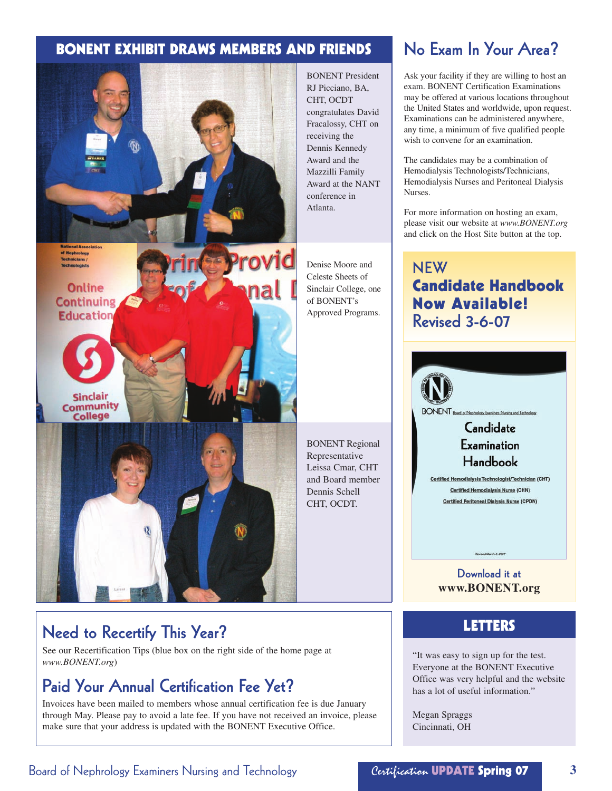### **BONENT EXHIBIT DRAWS MEMBERS AND FRIENDS**



BONENT President RJ Picciano, BA, CHT, OCDT congratulates David Fracalossy, CHT on receiving the Dennis Kennedy Award and the Mazzilli Family Award at the NANT conference in

Denise Moore and Celeste Sheets of Sinclair College, one of BONENT's Approved Programs.

BONENT Regional Representative Leissa Cmar, CHT and Board member Dennis Schell CHT, OCDT.

# **LETTERS Need to Recertify This Year?**

See our Recertification Tips (blue box on the right side of the home page at *www.BONENT.org*)

### **Paid Your Annual Certification Fee Yet?**

Invoices have been mailed to members whose annual certification fee is due January through May. Please pay to avoid a late fee. If you have not received an invoice, please make sure that your address is updated with the BONENT Executive Office.

### **No Exam In Your Area?**

Ask your facility if they are willing to host an exam. BONENT Certification Examinations may be offered at various locations throughout the United States and worldwide, upon request. Examinations can be administered anywhere, any time, a minimum of five qualified people wish to convene for an examination.

The candidates may be a combination of Hemodialysis Technologists/Technicians, Hemodialysis Nurses and Peritoneal Dialysis Nurses.

For more information on hosting an exam, please visit our website at *www.BONENT.org* and click on the Host Site button at the top.

### **NEW Candidate Handbook Now Available! Revised 3-6-07**



**Download it at www.BONENT.org**

"It was easy to sign up for the test. Everyone at the BONENT Executive Office was very helpful and the website has a lot of useful information."

Megan Spraggs Cincinnati, OH

### Board of Nephrology Examiners Nursing and Technology Certification **UPDATE Spring 07 3**